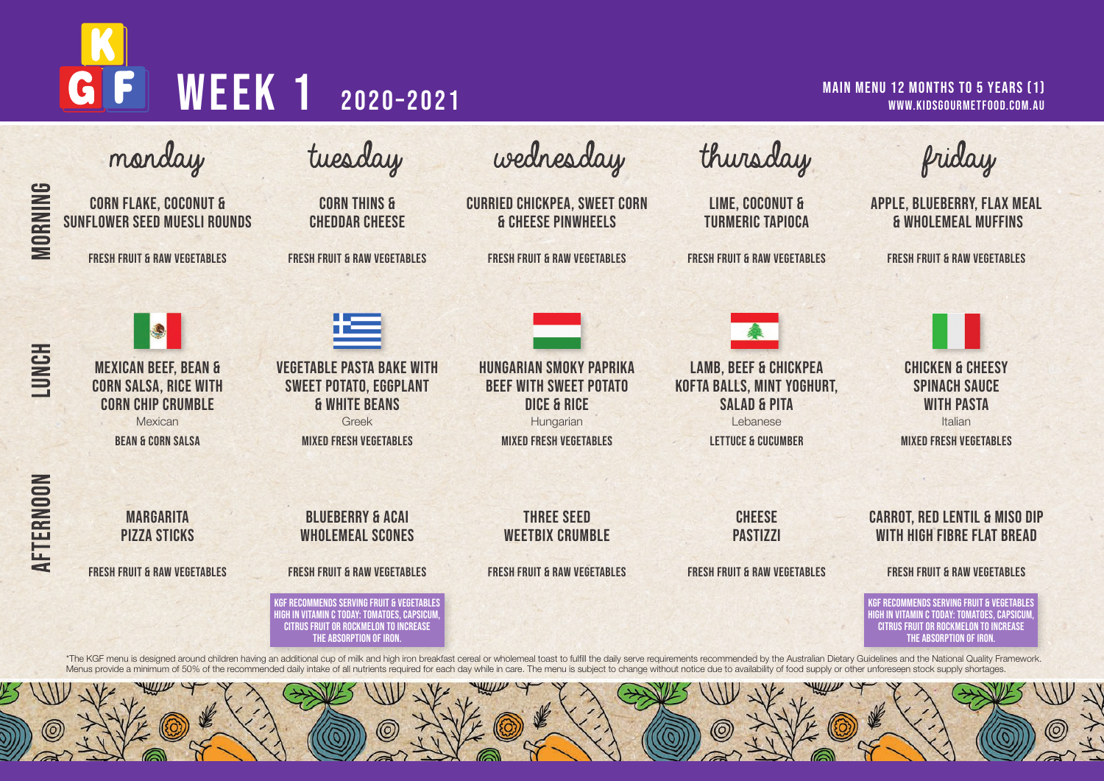

|              | monday                                                                                                                                             | tuesday                                                                                                                                                                                                                                                                         | wednesday                                                                                                                               | thursday                                                                                                                               | friday                                                                                                                                                                                                                                                                                          |
|--------------|----------------------------------------------------------------------------------------------------------------------------------------------------|---------------------------------------------------------------------------------------------------------------------------------------------------------------------------------------------------------------------------------------------------------------------------------|-----------------------------------------------------------------------------------------------------------------------------------------|----------------------------------------------------------------------------------------------------------------------------------------|-------------------------------------------------------------------------------------------------------------------------------------------------------------------------------------------------------------------------------------------------------------------------------------------------|
| MORNING      | <b>CORN FLAKE, COCONUT &amp;</b><br><b>SUNFLOWER SEED MUESLI ROUNDS</b>                                                                            | <b>CORN THINS &amp;</b><br><b>CHEDDAR CHEESE</b>                                                                                                                                                                                                                                | <b>CURRIED CHICKPEA, SWEET CORN</b><br><b>&amp; CHEESE PINWHEELS</b>                                                                    | <b>LIME, COCONUT &amp;</b><br><b>TURMERIC TAPIOCA</b>                                                                                  | <b>APPLE, BLUEBERRY, FLAX MEAL</b><br><b>&amp; WHOLEMEAL MUFFINS</b>                                                                                                                                                                                                                            |
|              | <b>FRESH FRUIT &amp; RAW VEGETABLES</b>                                                                                                            | <b>FRESH FRUIT &amp; RAW VEGETABLES</b>                                                                                                                                                                                                                                         | <b>FRESH FRUIT &amp; RAW VEGETABLES</b>                                                                                                 | <b>FRESH FRUIT &amp; RAW VEGETABLES</b>                                                                                                | <b>FRESH FRUIT &amp; RAW VEGETABLES</b>                                                                                                                                                                                                                                                         |
| <b>LUNCH</b> | <b>B</b><br><b>MEXICAN BEEF, BEAN &amp;</b><br><b>CORN SALSA, RICE WITH</b><br><b>CORN CHIP CRUMBLE</b><br>Mexican<br><b>BEAN &amp; CORN SALSA</b> | 埃里<br><b>VEGETABLE PASTA BAKE WITH</b><br><b>SWEET POTATO, EGGPLANT</b><br><b>&amp; WHITE BEANS</b><br>Greek<br><b>MIXED FRESH VEGETABLES</b>                                                                                                                                   | <b>HUNGARIAN SMOKY PAPRIKA</b><br><b>BEEF WITH SWEET POTATO</b><br><b>DICE &amp; RICE</b><br>Hungarian<br><b>MIXED FRESH VEGETABLES</b> | <b>LAMB, BEEF &amp; CHICKPEA</b><br>KOFTA BALLS, MINT YOGHURT,<br><b>SALAD &amp; PITA</b><br>Lebanese<br><b>LETTUCE &amp; CUCUMBER</b> | <b>CHICKEN &amp; CHEESY</b><br><b>SPINACH SAUCE</b><br><b>WITH PASTA</b><br>Italian<br><b>MIXED FRESH VEGETABLES</b>                                                                                                                                                                            |
| AFTERNOON    | <b>MARGARITA</b><br><b>PIZZA STICKS</b><br><b>FRESH FRUIT &amp; RAW VEGETABLES</b>                                                                 | <b>BLUEBERRY &amp; ACAI</b><br><b><i>WHOLEMEAL SCONES</i></b><br><b>FRESH FRUIT &amp; RAW VEGETABLES</b><br>KGF RECOMMENDS SERVING FRUIT & VEGETABLES<br>IIGH IN VITAMIN C TODAY: TOMATOES. CAPSICUM<br><b>CITRUS FRUIT OR ROCKMELON TO INCREASE</b><br>THE ABSORPTION OF IRON. | <b>THREE SEED</b><br><b>WEETBIX CRUMBLE</b><br><b>FRESH FRUIT &amp; RAW VEGETABLES</b>                                                  | <b>CHEESE</b><br><b>PASTIZZI</b><br><b>FRESH FRUIT &amp; RAW VEGETABLES</b>                                                            | <b>CARROT, RED LENTIL &amp; MISO DIP</b><br><b>WITH HIGH FIBRE FLAT BREAD</b><br><b>FRESH FRUIT &amp; RAW VEGETABLES</b><br>KGF RECOMMENDS SERVING FRUIT & VEGETABLES<br>HIGH IN VITAMIN C TODAY: TOMATOES. CAPSICUN<br><b>CITRUS FRUIT OR ROCKMELON TO INCREASE</b><br>THE ABSORPTION OF IRON. |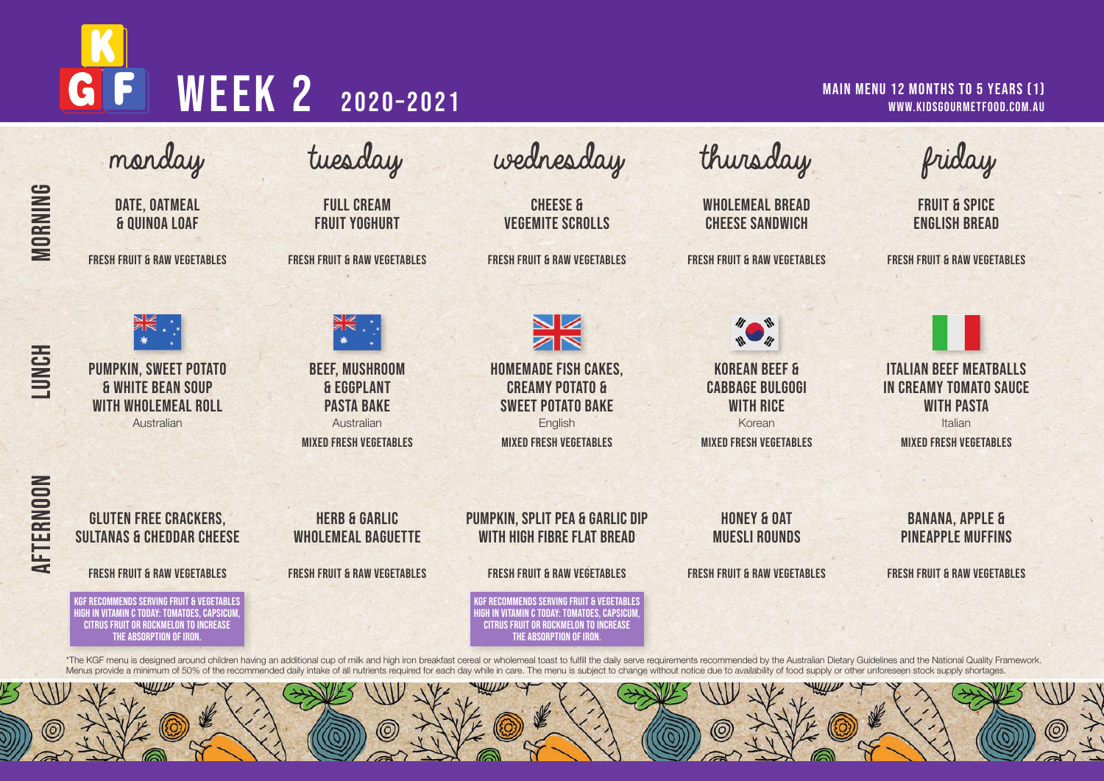# G WEEK 2 2020-2021

### MAIN MENU 12 MONTHS TO 5 YEARS (1) www.kidsgourmetfood.com.au



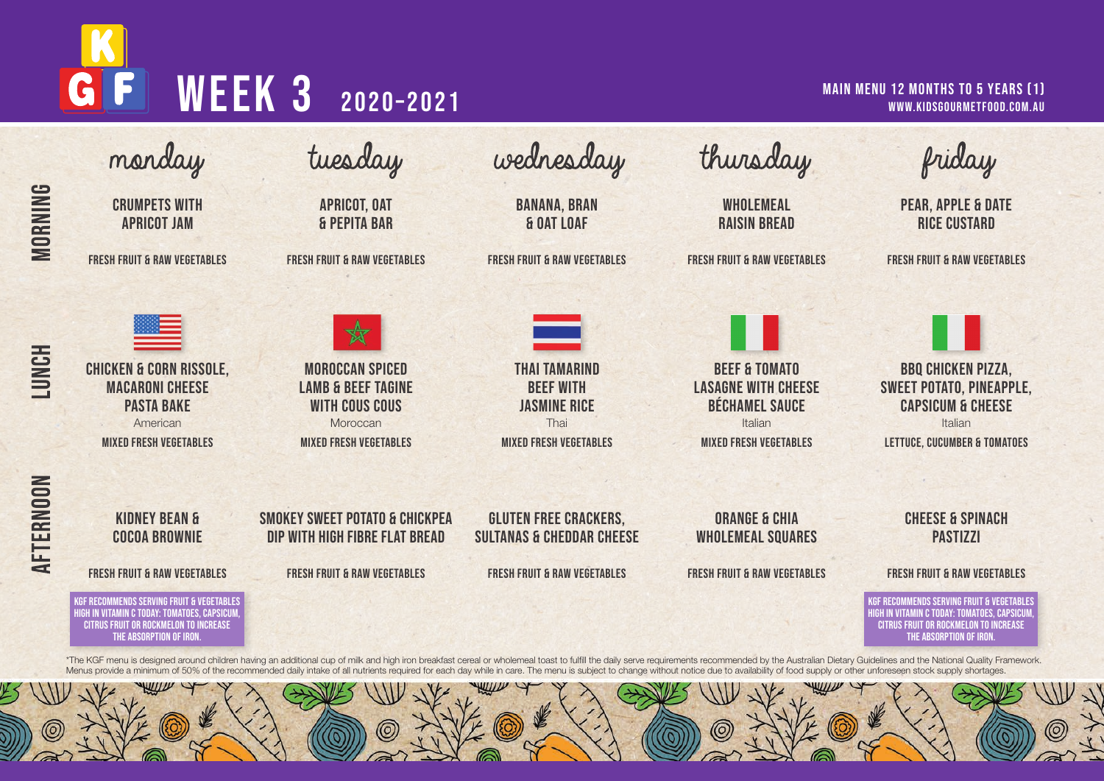# WEEK 3 2020-2021 GI

### MAIN MENU 12 MONTHS TO 5 YEARS (1) www.kidsgourmetfood.com.au

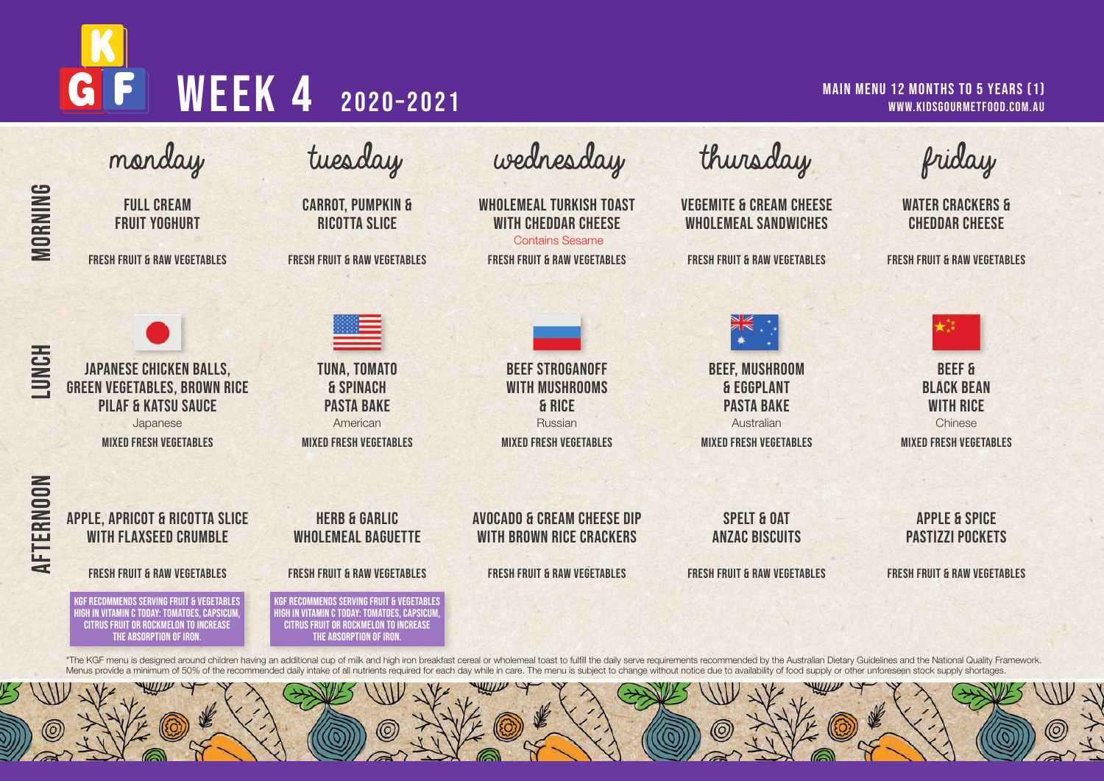# G WEEK 4 2020-2021

### MAIN MENU 12 MONTHS TO 5 YEARS (1) www.kidsgourmetfood.com.au

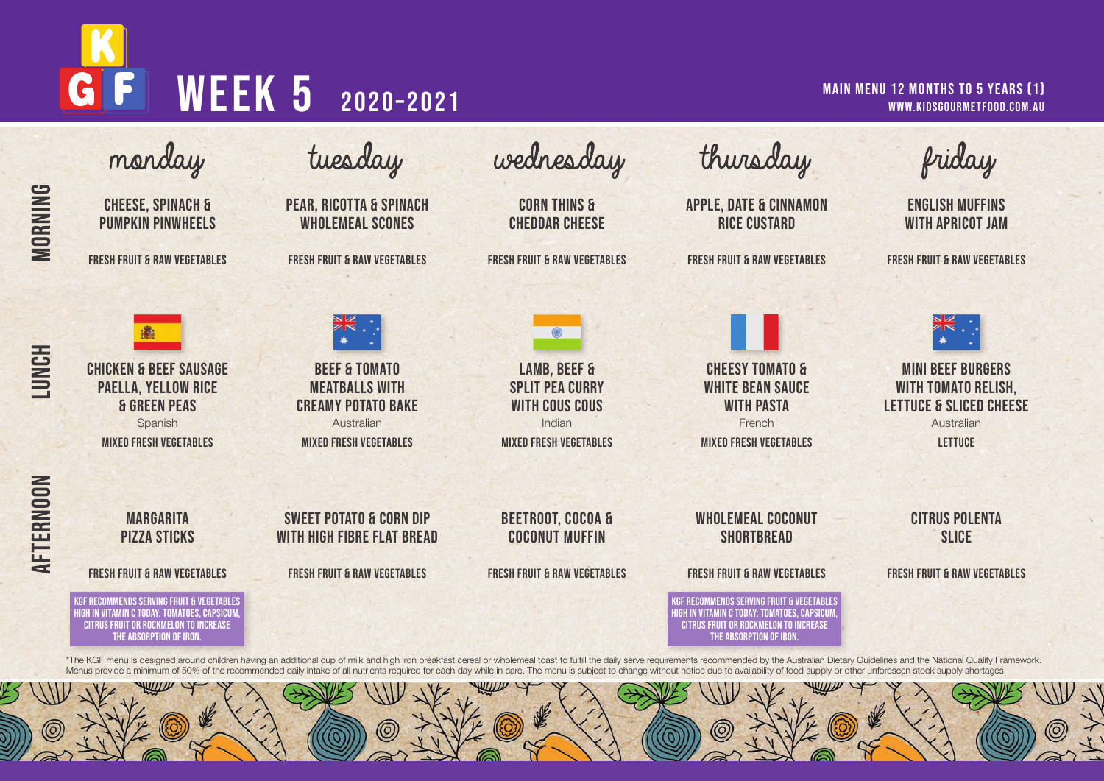# G WEEK 5 2020-2021

### MAIN MENU 12 MONTHS TO 5 YEARS (1) www.kidsgourmetfood.com.au